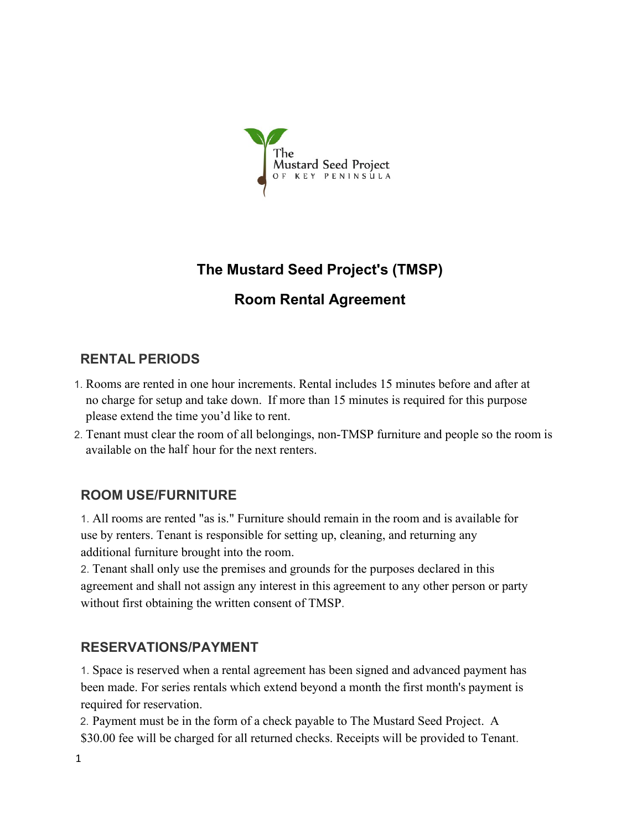

# **The Mustard Seed Project's (TMSP)**

# **Room Rental Agreement**

## **RENTAL PERIODS**

- 1. Rooms are rented in one hour increments. Rental includes 15 minutes before and after at no charge for setup and take down. If more than 15 minutes is required for this purpose please extend the time you'd like to rent.
- 2. Tenant must clear the room of all belongings, non-TMSP furniture and people so the room is available on the half hour for the next renters.

### **ROOM USE/FURNITURE**

1. All rooms are rented "as is." Furniture should remain in the room and is available for use by renters. Tenant is responsible for setting up, cleaning, and returning any additional furniture brought into the room.

2. Tenant shall only use the premises and grounds for the purposes declared in this agreement and shall not assign any interest in this agreement to any other person or party without first obtaining the written consent of TMSP.

#### **RESERVATIONS/PAYMENT**

1. Space is reserved when a rental agreement has been signed and advanced payment has been made. For series rentals which extend beyond a month the first month's payment is required for reservation.

2. Payment must be in the form of a check payable to The Mustard Seed Project. A \$30.00 fee will be charged for all returned checks. Receipts will be provided to Tenant.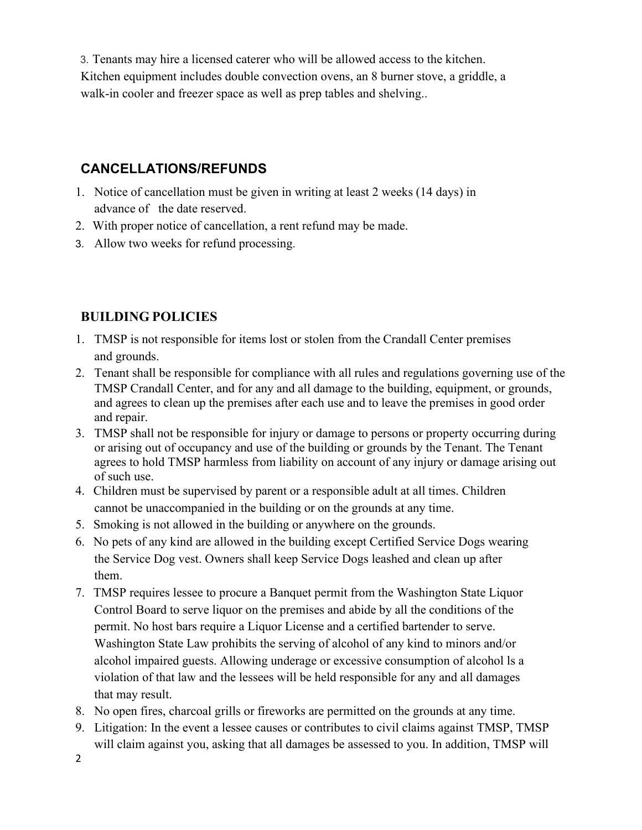3. Tenants may hire a licensed caterer who will be allowed access to the kitchen. Kitchen equipment includes double convection ovens, an 8 burner stove, a griddle, a walk-in cooler and freezer space as well as prep tables and shelving..

## **CANCELLATIONS/REFUNDS**

- 1. Notice of cancellation must be given in writing at least 2 weeks (14 days) in advance of the date reserved.
- 2. With proper notice of cancellation, a rent refund may be made.
- 3. Allow two weeks for refund processing.

# **BUILDING POLICIES**

- 1. TMSP is not responsible for items lost or stolen from the Crandall Center premises and grounds.
- 2. Tenant shall be responsible for compliance with all rules and regulations governing use of the TMSP Crandall Center, and for any and all damage to the building, equipment, or grounds, and agrees to clean up the premises after each use and to leave the premises in good order and repair.
- 3. TMSP shall not be responsible for injury or damage to persons or property occurring during or arising out of occupancy and use of the building or grounds by the Tenant. The Tenant agrees to hold TMSP harmless from liability on account of any injury or damage arising out of such use.
- 4. Children must be supervised by parent or a responsible adult at all times. Children cannot be unaccompanied in the building or on the grounds at any time.
- 5. Smoking is not allowed in the building or anywhere on the grounds.
- 6. No pets of any kind are allowed in the building except Certified Service Dogs wearing the Service Dog vest. Owners shall keep Service Dogs leashed and clean up after them.
- 7. TMSP requires lessee to procure a Banquet permit from the Washington State Liquor Control Board to serve liquor on the premises and abide by all the conditions of the permit. No host bars require a Liquor License and a certified bartender to serve. Washington State Law prohibits the serving of alcohol of any kind to minors and/or alcohol impaired guests. Allowing underage or excessive consumption of alcohol ls a violation of that law and the lessees will be held responsible for any and all damages that may result.
- 8. No open fires, charcoal grills or fireworks are permitted on the grounds at any time.
- 9. Litigation: In the event a lessee causes or contributes to civil claims against TMSP, TMSP will claim against you, asking that all damages be assessed to you. In addition, TMSP will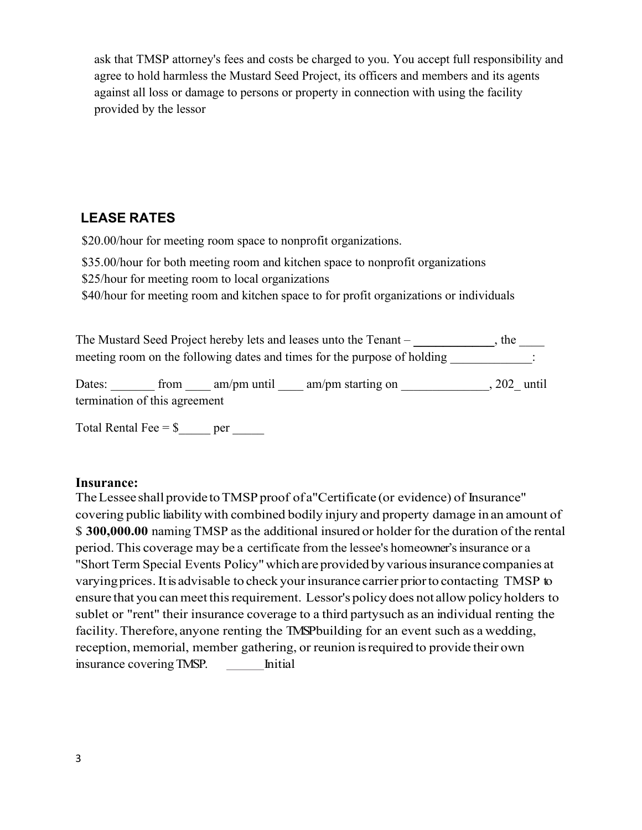ask that TMSP attorney's fees and costs be charged to you. You accept full responsibility and agree to hold harmless the Mustard Seed Project, its officers and members and its agents against all loss or damage to persons or property in connection with using the facility provided by the lessor

## **LEASE RATES**

\$20.00/hour for meeting room space to nonprofit organizations.

\$35.00/hour for both meeting room and kitchen space to nonprofit organizations

\$25/hour for meeting room to local organizations

\$40/hour for meeting room and kitchen space to for profit organizations or individuals

The Mustard Seed Project hereby lets and leases unto the Tenant – **\_\_\_\_\_\_\_\_**, the \_\_\_\_\_ meeting room on the following dates and times for the purpose of holding  $\cdot$ 

Dates: from am/pm until am/pm starting on , 202 until termination of this agreement

Total Rental Fee  $=$  \$ $\_\_$ per  $\_\_$ 

#### **Insurance:**

The Lessee shall provide to TMSP proof of a"Certificate (or evidence) of Insurance" covering public liabilitywith combined bodily injury and property damage in an amount of \$ **300,000.00** naming TMSP asthe additional insured or holder for the duration of the rental period. This coverage may be a certificate from the lessee's homeowner's insurance or a "Short Term Special Events Policy" which are provided by various insurance companies at varying prices. It is advisable to check your insurance carrier prior to contacting TMSP to ensure that you can meet this requirement. Lessor's policy does not allow policy holders to sublet or "rent" their insurance coverage to a third partysuch as an individual renting the facility. Therefore, anyone renting the TMSP building for an event such as a wedding, reception, memorial, member gathering, or reunion isrequired to provide their own insurance coveringTMSP. Initial